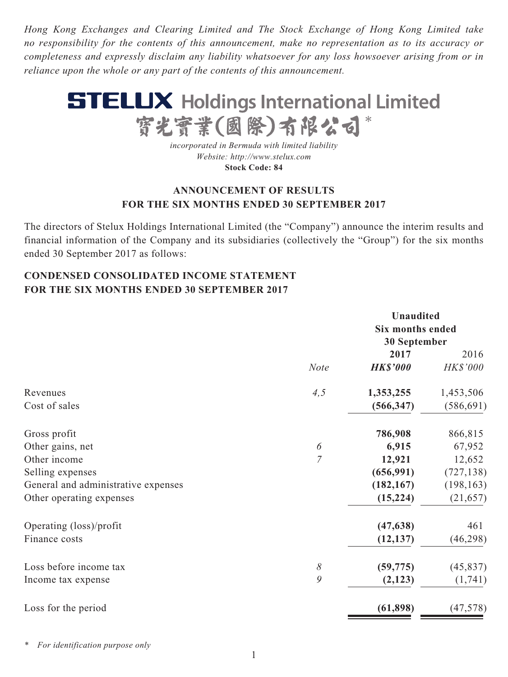*Hong Kong Exchanges and Clearing Limited and The Stock Exchange of Hong Kong Limited take no responsibility for the contents of this announcement, make no representation as to its accuracy or completeness and expressly disclaim any liability whatsoever for any loss howsoever arising from or in reliance upon the whole or any part of the contents of this announcement.*



*incorporated in Bermuda with limited liability Website: http://www.stelux.com* **Stock Code: 84**

### **ANNOUNCEMENT OF RESULTS FOR THE SIX MONTHS ENDED 30 SEPTEMBER 2017**

The directors of Stelux Holdings International Limited (the "Company") announce the interim results and financial information of the Company and its subsidiaries (collectively the "Group") for the six months ended 30 September 2017 as follows:

## **CONDENSED CONSOLIDATED INCOME STATEMENT FOR THE SIX MONTHS ENDED 30 SEPTEMBER 2017**

|                | <b>Unaudited</b> |                                         |  |
|----------------|------------------|-----------------------------------------|--|
|                |                  |                                         |  |
|                |                  |                                         |  |
|                | 2017             | 2016                                    |  |
| <b>Note</b>    | <b>HK\$'000</b>  | HK\$'000                                |  |
| 4,5            | 1,353,255        | 1,453,506                               |  |
|                | (566, 347)       | (586, 691)                              |  |
|                | 786,908          | 866,815                                 |  |
| 6              | 6,915            | 67,952                                  |  |
| $\overline{7}$ | 12,921           | 12,652                                  |  |
|                | (656, 991)       | (727, 138)                              |  |
|                | (182, 167)       | (198, 163)                              |  |
|                | (15, 224)        | (21, 657)                               |  |
|                | (47, 638)        | 461                                     |  |
|                | (12, 137)        | (46, 298)                               |  |
| $\delta$       | (59, 775)        | (45, 837)                               |  |
| 9              | (2,123)          | (1,741)                                 |  |
|                | (61, 898)        | (47, 578)                               |  |
|                |                  | <b>Six months ended</b><br>30 September |  |

*\* For identification purpose only*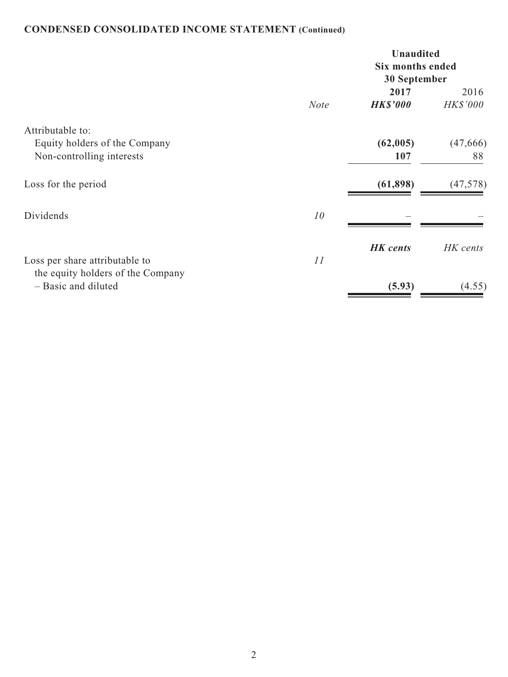# **CONDENSED CONSOLIDATED INCOME STATEMENT (Continued)**

|                                                                                | <b>Unaudited</b><br><b>Six months ended</b><br>30 September |                         |                  |
|--------------------------------------------------------------------------------|-------------------------------------------------------------|-------------------------|------------------|
|                                                                                | <b>Note</b>                                                 | 2017<br><b>HK\$'000</b> | 2016<br>HK\$'000 |
| Attributable to:<br>Equity holders of the Company<br>Non-controlling interests |                                                             | (62,005)<br>107         | (47, 666)<br>88  |
| Loss for the period                                                            |                                                             | (61, 898)               | (47, 578)        |
| Dividends                                                                      | 10                                                          |                         |                  |
| Loss per share attributable to                                                 | 11                                                          | <b>HK</b> cents         | HK cents         |
| the equity holders of the Company<br>- Basic and diluted                       |                                                             | (5.93)                  | (4.55)           |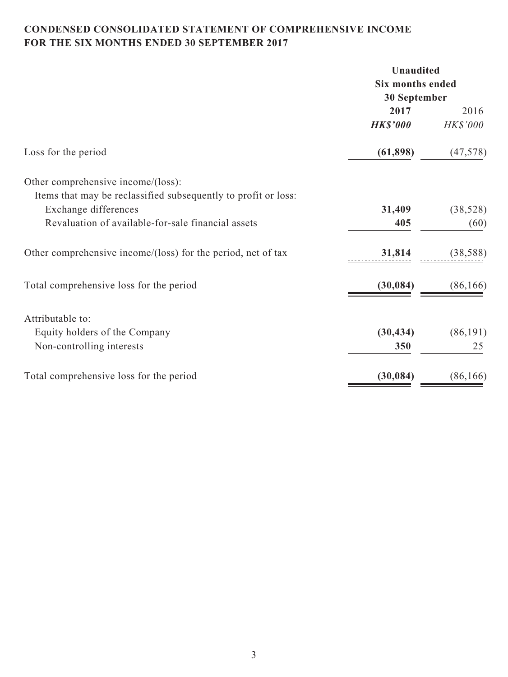# **CONDENSED CONSOLIDATED STATEMENT OF COMPREHENSIVE INCOME FOR THE SIX MONTHS ENDED 30 SEPTEMBER 2017**

|                                                                | <b>Unaudited</b> |           |
|----------------------------------------------------------------|------------------|-----------|
|                                                                | Six months ended |           |
|                                                                | 30 September     |           |
|                                                                | 2017             | 2016      |
|                                                                | <b>HK\$'000</b>  | HK\$'000  |
| Loss for the period                                            | (61, 898)        | (47, 578) |
| Other comprehensive income/(loss):                             |                  |           |
| Items that may be reclassified subsequently to profit or loss: |                  |           |
| Exchange differences                                           | 31,409           | (38, 528) |
| Revaluation of available-for-sale financial assets             | 405              | (60)      |
| Other comprehensive income/(loss) for the period, net of tax   | 31,814           | (38, 588) |
| Total comprehensive loss for the period                        | (30, 084)        | (86, 166) |
| Attributable to:                                               |                  |           |
| Equity holders of the Company                                  | (30, 434)        | (86, 191) |
| Non-controlling interests                                      | 350              | 25        |
| Total comprehensive loss for the period                        | (30, 084)        | (86, 166) |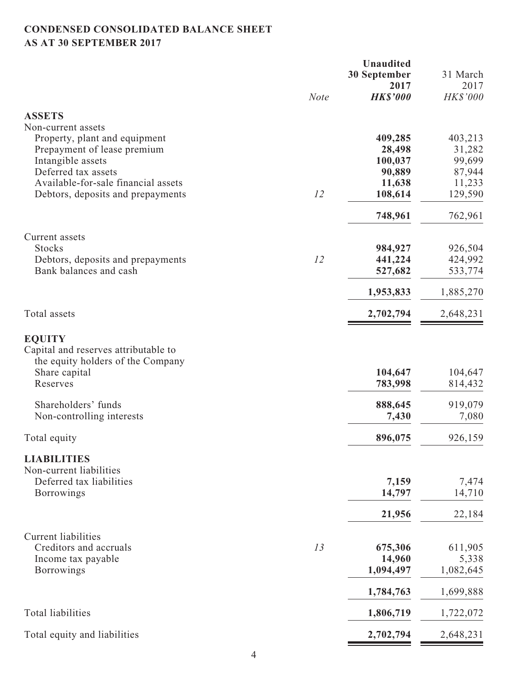# **CONDENSED CONSOLIDATED BALANCE SHEET AS AT 30 SEPTEMBER 2017**

|                                                              |             | <b>Unaudited</b><br><b>30 September</b><br>2017 | 31 March<br>2017   |
|--------------------------------------------------------------|-------------|-------------------------------------------------|--------------------|
|                                                              | <b>Note</b> | <b>HK\$'000</b>                                 | HK\$'000           |
| <b>ASSETS</b>                                                |             |                                                 |                    |
| Non-current assets                                           |             |                                                 |                    |
| Property, plant and equipment<br>Prepayment of lease premium |             | 409,285<br>28,498                               | 403,213<br>31,282  |
| Intangible assets                                            |             | 100,037                                         | 99,699             |
| Deferred tax assets                                          |             | 90,889                                          | 87,944             |
| Available-for-sale financial assets                          |             | 11,638                                          | 11,233             |
| Debtors, deposits and prepayments                            | 12          | 108,614                                         | 129,590            |
|                                                              |             | 748,961                                         | 762,961            |
| Current assets                                               |             |                                                 |                    |
| <b>Stocks</b><br>Debtors, deposits and prepayments           | 12          | 984,927<br>441,224                              | 926,504<br>424,992 |
| Bank balances and cash                                       |             | 527,682                                         | 533,774            |
|                                                              |             | 1,953,833                                       | 1,885,270          |
| Total assets                                                 |             | 2,702,794                                       | 2,648,231          |
| <b>EQUITY</b>                                                |             |                                                 |                    |
| Capital and reserves attributable to                         |             |                                                 |                    |
| the equity holders of the Company                            |             |                                                 |                    |
| Share capital<br>Reserves                                    |             | 104,647<br>783,998                              | 104,647<br>814,432 |
|                                                              |             |                                                 |                    |
| Shareholders' funds                                          |             | 888,645                                         | 919,079            |
| Non-controlling interests                                    |             | 7,430                                           | 7,080              |
| Total equity                                                 |             | 896,075                                         | 926,159            |
| <b>LIABILITIES</b>                                           |             |                                                 |                    |
| Non-current liabilities                                      |             |                                                 |                    |
| Deferred tax liabilities<br><b>Borrowings</b>                |             | 7,159<br>14,797                                 | 7,474<br>14,710    |
|                                                              |             |                                                 |                    |
|                                                              |             | 21,956                                          | 22,184             |
| <b>Current liabilities</b>                                   |             |                                                 |                    |
| Creditors and accruals<br>Income tax payable                 | 13          | 675,306<br>14,960                               | 611,905<br>5,338   |
| <b>Borrowings</b>                                            |             | 1,094,497                                       | 1,082,645          |
|                                                              |             | 1,784,763                                       | 1,699,888          |
| Total liabilities                                            |             | 1,806,719                                       | 1,722,072          |
| Total equity and liabilities                                 |             | 2,702,794                                       | 2,648,231          |
|                                                              |             |                                                 |                    |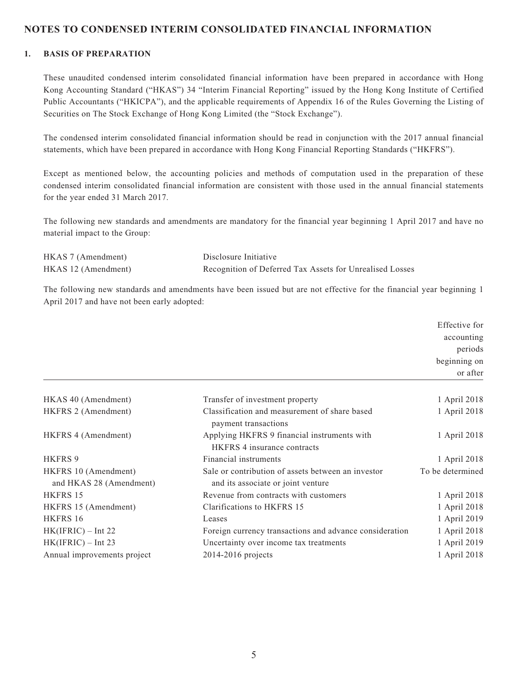### **NOTES TO CONDENSED INTERIM CONSOLIDATED FINANCIAL INFORMATION**

#### **1. BASIS OF PREPARATION**

These unaudited condensed interim consolidated financial information have been prepared in accordance with Hong Kong Accounting Standard ("HKAS") 34 "Interim Financial Reporting" issued by the Hong Kong Institute of Certified Public Accountants ("HKICPA"), and the applicable requirements of Appendix 16 of the Rules Governing the Listing of Securities on The Stock Exchange of Hong Kong Limited (the "Stock Exchange").

The condensed interim consolidated financial information should be read in conjunction with the 2017 annual financial statements, which have been prepared in accordance with Hong Kong Financial Reporting Standards ("HKFRS").

Except as mentioned below, the accounting policies and methods of computation used in the preparation of these condensed interim consolidated financial information are consistent with those used in the annual financial statements for the year ended 31 March 2017.

The following new standards and amendments are mandatory for the financial year beginning 1 April 2017 and have no material impact to the Group:

| HKAS 7 (Amendment)  | Disclosure Initiative                                    |
|---------------------|----------------------------------------------------------|
| HKAS 12 (Amendment) | Recognition of Deferred Tax Assets for Unrealised Losses |

The following new standards and amendments have been issued but are not effective for the financial year beginning 1 April 2017 and have not been early adopted:

|                                                 |                                                                                          | Effective for    |
|-------------------------------------------------|------------------------------------------------------------------------------------------|------------------|
|                                                 |                                                                                          | accounting       |
|                                                 |                                                                                          | periods          |
|                                                 |                                                                                          | beginning on     |
|                                                 |                                                                                          | or after         |
| HKAS 40 (Amendment)                             | Transfer of investment property                                                          | 1 April 2018     |
| HKFRS 2 (Amendment)                             | Classification and measurement of share based<br>payment transactions                    | 1 April 2018     |
| HKFRS 4 (Amendment)                             | Applying HKFRS 9 financial instruments with<br><b>HKFRS</b> 4 insurance contracts        | 1 April 2018     |
| <b>HKFRS 9</b>                                  | Financial instruments                                                                    | 1 April 2018     |
| HKFRS 10 (Amendment)<br>and HKAS 28 (Amendment) | Sale or contribution of assets between an investor<br>and its associate or joint venture | To be determined |
| HKFRS 15                                        | Revenue from contracts with customers                                                    | 1 April 2018     |
| HKFRS 15 (Amendment)                            | Clarifications to HKFRS 15                                                               | 1 April 2018     |
| HKFRS 16                                        | Leases                                                                                   | 1 April 2019     |
| $HK(IFRIC) - Int 22$                            | Foreign currency transactions and advance consideration                                  | 1 April 2018     |
| $HK(IFRIC) - Int 23$                            | Uncertainty over income tax treatments                                                   | 1 April 2019     |
| Annual improvements project                     | $2014 - 2016$ projects                                                                   | 1 April 2018     |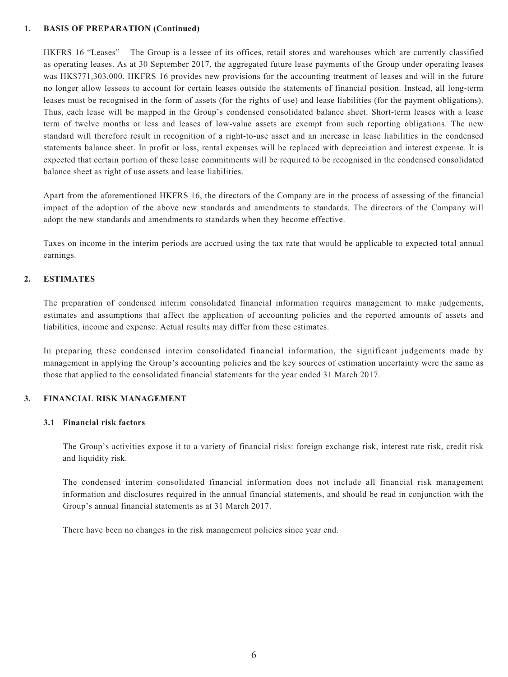#### **1. BASIS OF PREPARATION (Continued)**

HKFRS 16 "Leases" – The Group is a lessee of its offices, retail stores and warehouses which are currently classified as operating leases. As at 30 September 2017, the aggregated future lease payments of the Group under operating leases was HK\$771,303,000. HKFRS 16 provides new provisions for the accounting treatment of leases and will in the future no longer allow lessees to account for certain leases outside the statements of financial position. Instead, all long-term leases must be recognised in the form of assets (for the rights of use) and lease liabilities (for the payment obligations). Thus, each lease will be mapped in the Group's condensed consolidated balance sheet. Short-term leases with a lease term of twelve months or less and leases of low-value assets are exempt from such reporting obligations. The new standard will therefore result in recognition of a right-to-use asset and an increase in lease liabilities in the condensed statements balance sheet. In profit or loss, rental expenses will be replaced with depreciation and interest expense. It is expected that certain portion of these lease commitments will be required to be recognised in the condensed consolidated balance sheet as right of use assets and lease liabilities.

Apart from the aforementioned HKFRS 16, the directors of the Company are in the process of assessing of the financial impact of the adoption of the above new standards and amendments to standards. The directors of the Company will adopt the new standards and amendments to standards when they become effective.

Taxes on income in the interim periods are accrued using the tax rate that would be applicable to expected total annual earnings.

#### **2. ESTIMATES**

The preparation of condensed interim consolidated financial information requires management to make judgements, estimates and assumptions that affect the application of accounting policies and the reported amounts of assets and liabilities, income and expense. Actual results may differ from these estimates.

In preparing these condensed interim consolidated financial information, the significant judgements made by management in applying the Group's accounting policies and the key sources of estimation uncertainty were the same as those that applied to the consolidated financial statements for the year ended 31 March 2017.

#### **3. FINANCIAL RISK MANAGEMENT**

#### **3.1 Financial risk factors**

The Group's activities expose it to a variety of financial risks: foreign exchange risk, interest rate risk, credit risk and liquidity risk.

The condensed interim consolidated financial information does not include all financial risk management information and disclosures required in the annual financial statements, and should be read in conjunction with the Group's annual financial statements as at 31 March 2017.

There have been no changes in the risk management policies since year end.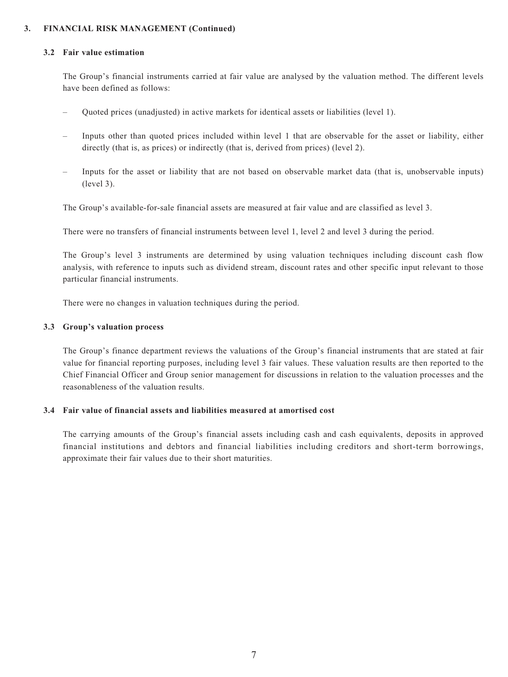#### **3. FINANCIAL RISK MANAGEMENT (Continued)**

#### **3.2 Fair value estimation**

The Group's financial instruments carried at fair value are analysed by the valuation method. The different levels have been defined as follows:

- Quoted prices (unadjusted) in active markets for identical assets or liabilities (level 1).
- Inputs other than quoted prices included within level 1 that are observable for the asset or liability, either directly (that is, as prices) or indirectly (that is, derived from prices) (level 2).
- Inputs for the asset or liability that are not based on observable market data (that is, unobservable inputs) (level 3).

The Group's available-for-sale financial assets are measured at fair value and are classified as level 3.

There were no transfers of financial instruments between level 1, level 2 and level 3 during the period.

The Group's level 3 instruments are determined by using valuation techniques including discount cash flow analysis, with reference to inputs such as dividend stream, discount rates and other specific input relevant to those particular financial instruments.

There were no changes in valuation techniques during the period.

#### **3.3 Group's valuation process**

The Group's finance department reviews the valuations of the Group's financial instruments that are stated at fair value for financial reporting purposes, including level 3 fair values. These valuation results are then reported to the Chief Financial Officer and Group senior management for discussions in relation to the valuation processes and the reasonableness of the valuation results.

#### **3.4 Fair value of financial assets and liabilities measured at amortised cost**

The carrying amounts of the Group's financial assets including cash and cash equivalents, deposits in approved financial institutions and debtors and financial liabilities including creditors and short-term borrowings, approximate their fair values due to their short maturities.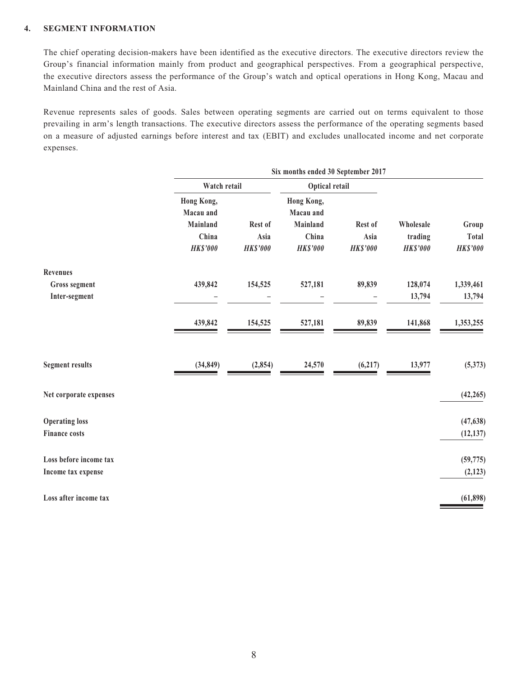### **4. SEGMENT INFORMATION**

The chief operating decision-makers have been identified as the executive directors. The executive directors review the Group's financial information mainly from product and geographical perspectives. From a geographical perspective, the executive directors assess the performance of the Group's watch and optical operations in Hong Kong, Macau and Mainland China and the rest of Asia.

Revenue represents sales of goods. Sales between operating segments are carried out on terms equivalent to those prevailing in arm's length transactions. The executive directors assess the performance of the operating segments based on a measure of adjusted earnings before interest and tax (EBIT) and excludes unallocated income and net corporate expenses.

|                        | Six months ended 30 September 2017 |                 |                         |                 |                 |                 |
|------------------------|------------------------------------|-----------------|-------------------------|-----------------|-----------------|-----------------|
|                        | Watch retail<br>Optical retail     |                 |                         |                 |                 |                 |
|                        | Hong Kong,<br>Macau and            |                 | Hong Kong,<br>Macau and |                 |                 |                 |
|                        | <b>Mainland</b>                    | Rest of         | Mainland                | Rest of         | Wholesale       | Group           |
|                        | China                              | Asia            | China                   | Asia            | trading         | <b>Total</b>    |
|                        | <b>HK\$'000</b>                    | <b>HK\$'000</b> | <b>HK\$'000</b>         | <b>HK\$'000</b> | <b>HK\$'000</b> | <b>HK\$'000</b> |
| <b>Revenues</b>        |                                    |                 |                         |                 |                 |                 |
| Gross segment          | 439,842                            | 154,525         | 527,181                 | 89,839          | 128,074         | 1,339,461       |
| Inter-segment          |                                    |                 |                         |                 | 13,794          | 13,794          |
|                        | 439,842                            | 154,525         | 527,181                 | 89,839          | 141,868         | 1,353,255       |
| <b>Segment results</b> | (34, 849)                          | (2, 854)        | 24,570                  | (6,217)         | 13,977          | (5,373)         |
| Net corporate expenses |                                    |                 |                         |                 |                 | (42, 265)       |
| <b>Operating loss</b>  |                                    |                 |                         |                 |                 | (47, 638)       |
| <b>Finance costs</b>   |                                    |                 |                         |                 |                 | (12, 137)       |
| Loss before income tax |                                    |                 |                         |                 |                 | (59, 775)       |
| Income tax expense     |                                    |                 |                         |                 |                 | (2, 123)        |
| Loss after income tax  |                                    |                 |                         |                 |                 | (61, 898)       |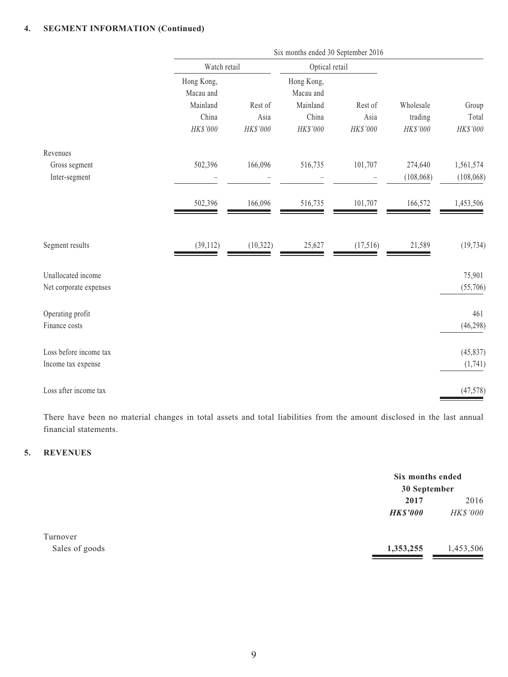### **4. SEGMENT INFORMATION (Continued)**

|                        | Six months ended 30 September 2016 |           |                         |          |            |            |  |
|------------------------|------------------------------------|-----------|-------------------------|----------|------------|------------|--|
|                        | Watch retail<br>Optical retail     |           |                         |          |            |            |  |
|                        | Hong Kong,<br>Macau and            |           | Hong Kong,<br>Macau and |          |            |            |  |
|                        | Mainland                           | Rest of   | Mainland                | Rest of  | Wholesale  | Group      |  |
|                        | China                              | Asia      | China                   | Asia     | trading    | Total      |  |
|                        | HK\$'000                           | HK\$'000  | HK\$'000                | HK\$'000 | HK\$'000   | HK\$'000   |  |
| Revenues               |                                    |           |                         |          |            |            |  |
| Gross segment          | 502,396                            | 166,096   | 516,735                 | 101,707  | 274,640    | 1,561,574  |  |
| Inter-segment          |                                    |           |                         |          | (108, 068) | (108, 068) |  |
|                        | 502,396                            | 166,096   | 516,735                 | 101,707  | 166,572    | 1,453,506  |  |
| Segment results        | (39, 112)                          | (10, 322) | 25,627                  | (17,516) | 21,589     | (19, 734)  |  |
| Unallocated income     |                                    |           |                         |          |            | 75,901     |  |
| Net corporate expenses |                                    |           |                         |          |            | (55,706)   |  |
| Operating profit       |                                    |           |                         |          |            | 461        |  |
| Finance costs          |                                    |           |                         |          |            | (46, 298)  |  |
| Loss before income tax |                                    |           |                         |          |            | (45, 837)  |  |
| Income tax expense     |                                    |           |                         |          |            | (1,741)    |  |
| Loss after income tax  |                                    |           |                         |          |            | (47, 578)  |  |

There have been no material changes in total assets and total liabilities from the amount disclosed in the last annual financial statements.

### **5. REVENUES**

|                | Six months ended<br>30 September |           |
|----------------|----------------------------------|-----------|
|                | 2017                             | 2016      |
|                | <b>HK\$'000</b>                  | HK\$'000  |
| Turnover       |                                  |           |
| Sales of goods | 1,353,255                        | 1,453,506 |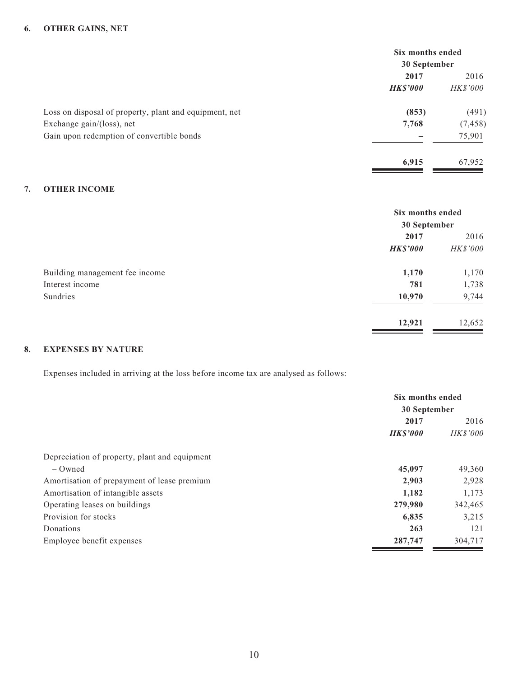#### **6. OTHER GAINS, NET**

|                                                        | Six months ended                  |                 |
|--------------------------------------------------------|-----------------------------------|-----------------|
|                                                        | 30 September                      |                 |
|                                                        | 2017                              | 2016            |
|                                                        | <b>HK\$'000</b><br>(853)<br>7,768 | <i>HK\$'000</i> |
| Loss on disposal of property, plant and equipment, net |                                   | (491)           |
| Exchange gain/(loss), net                              |                                   | (7, 458)        |
| Gain upon redemption of convertible bonds              |                                   | 75,901          |
|                                                        | 6,915                             | 67,952          |

### **7. OTHER INCOME**

|                                | Six months ended<br>30 September |          |
|--------------------------------|----------------------------------|----------|
|                                | 2017                             | 2016     |
|                                | <b>HK\$'000</b>                  | HK\$'000 |
| Building management fee income | 1,170                            | 1,170    |
| Interest income                | 781                              | 1,738    |
| Sundries                       | 10,970                           | 9,744    |
|                                | 12,921                           | 12,652   |

### **8. EXPENSES BY NATURE**

Expenses included in arriving at the loss before income tax are analysed as follows:

|                                               | Six months ended<br>30 September |                 |
|-----------------------------------------------|----------------------------------|-----------------|
|                                               |                                  |                 |
|                                               | 2017                             | 2016            |
|                                               | <b>HKS'000</b>                   | <b>HK\$'000</b> |
| Depreciation of property, plant and equipment |                                  |                 |
| $-$ Owned                                     | 45,097                           | 49,360          |
| Amortisation of prepayment of lease premium   | 2,903                            | 2,928           |
| Amortisation of intangible assets             | 1,182                            | 1,173           |
| Operating leases on buildings                 | 279,980                          | 342,465         |
| Provision for stocks                          | 6,835                            | 3,215           |
| Donations                                     | 263                              | 121             |
| Employee benefit expenses                     | 287,747                          | 304,717         |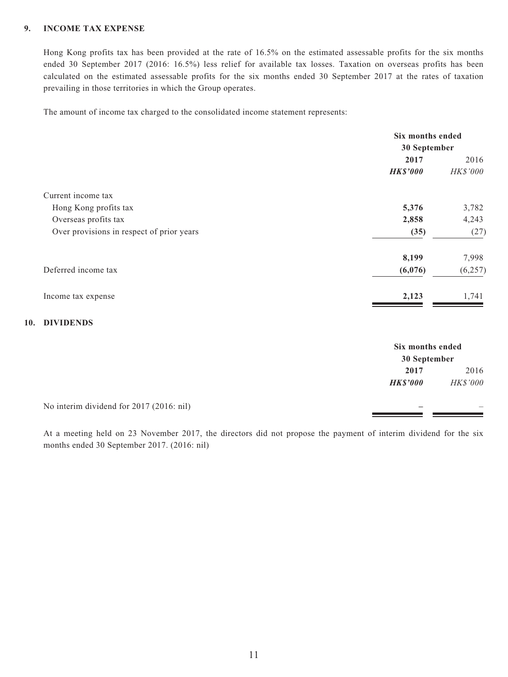### **9. INCOME TAX EXPENSE**

Hong Kong profits tax has been provided at the rate of 16.5% on the estimated assessable profits for the six months ended 30 September 2017 (2016: 16.5%) less relief for available tax losses. Taxation on overseas profits has been calculated on the estimated assessable profits for the six months ended 30 September 2017 at the rates of taxation prevailing in those territories in which the Group operates.

The amount of income tax charged to the consolidated income statement represents:

|                                           | Six months ended |          |
|-------------------------------------------|------------------|----------|
|                                           | 30 September     |          |
|                                           | 2017             | 2016     |
|                                           | <b>HK\$'000</b>  | HK\$'000 |
| Current income tax                        |                  |          |
| Hong Kong profits tax                     | 5,376            | 3,782    |
| Overseas profits tax                      | 2,858            | 4,243    |
| Over provisions in respect of prior years | (35)             | (27)     |
|                                           | 8,199            | 7,998    |
| Deferred income tax                       | (6,076)          | (6, 257) |
| Income tax expense                        | 2,123            | 1,741    |

#### **10. DIVIDENDS**

|                                          |                 | Six months ended<br>30 September |  |
|------------------------------------------|-----------------|----------------------------------|--|
|                                          |                 |                                  |  |
|                                          | 2017            | 2016                             |  |
|                                          | <b>HK\$'000</b> | HK\$'000                         |  |
| No interim dividend for 2017 (2016: nil) |                 | –                                |  |

At a meeting held on 23 November 2017, the directors did not propose the payment of interim dividend for the six months ended 30 September 2017. (2016: nil)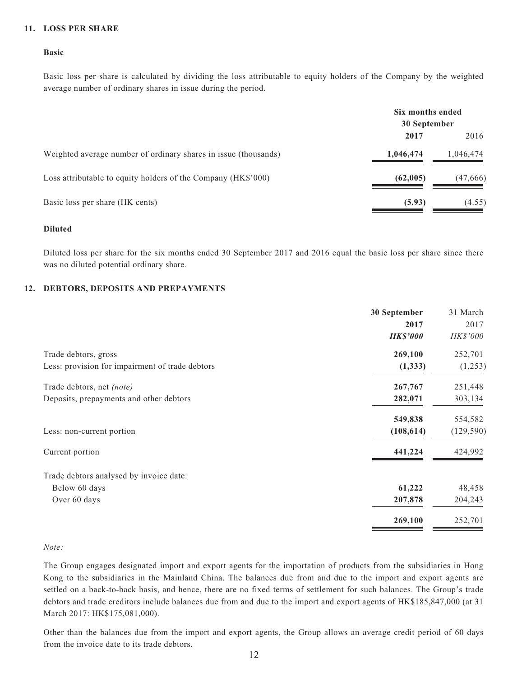#### **11. LOSS PER SHARE**

#### **Basic**

Basic loss per share is calculated by dividing the loss attributable to equity holders of the Company by the weighted average number of ordinary shares in issue during the period.

|                                                                 | Six months ended<br>30 September |           |
|-----------------------------------------------------------------|----------------------------------|-----------|
|                                                                 | 2017                             | 2016      |
| Weighted average number of ordinary shares in issue (thousands) | 1,046,474                        | 1,046,474 |
| Loss attributable to equity holders of the Company (HK\$'000)   | (62,005)                         | (47,666)  |
| Basic loss per share (HK cents)                                 | (5.93)                           | (4.55)    |

#### **Diluted**

Diluted loss per share for the six months ended 30 September 2017 and 2016 equal the basic loss per share since there was no diluted potential ordinary share.

#### **12. DEBTORS, DEPOSITS AND PREPAYMENTS**

|                                                 | 30 September    | 31 March   |
|-------------------------------------------------|-----------------|------------|
|                                                 | 2017            | 2017       |
|                                                 | <b>HK\$'000</b> | HK\$'000   |
| Trade debtors, gross                            | 269,100         | 252,701    |
| Less: provision for impairment of trade debtors | (1, 333)        | (1,253)    |
| Trade debtors, net (note)                       | 267,767         | 251,448    |
| Deposits, prepayments and other debtors         | 282,071         | 303,134    |
|                                                 | 549,838         | 554,582    |
| Less: non-current portion                       | (108, 614)      | (129, 590) |
| Current portion                                 | 441,224         | 424,992    |
| Trade debtors analysed by invoice date:         |                 |            |
| Below 60 days                                   | 61,222          | 48,458     |
| Over 60 days                                    | 207,878         | 204,243    |
|                                                 | 269,100         | 252,701    |

#### *Note:*

The Group engages designated import and export agents for the importation of products from the subsidiaries in Hong Kong to the subsidiaries in the Mainland China. The balances due from and due to the import and export agents are settled on a back-to-back basis, and hence, there are no fixed terms of settlement for such balances. The Group's trade debtors and trade creditors include balances due from and due to the import and export agents of HK\$185,847,000 (at 31 March 2017: HK\$175,081,000).

Other than the balances due from the import and export agents, the Group allows an average credit period of 60 days from the invoice date to its trade debtors.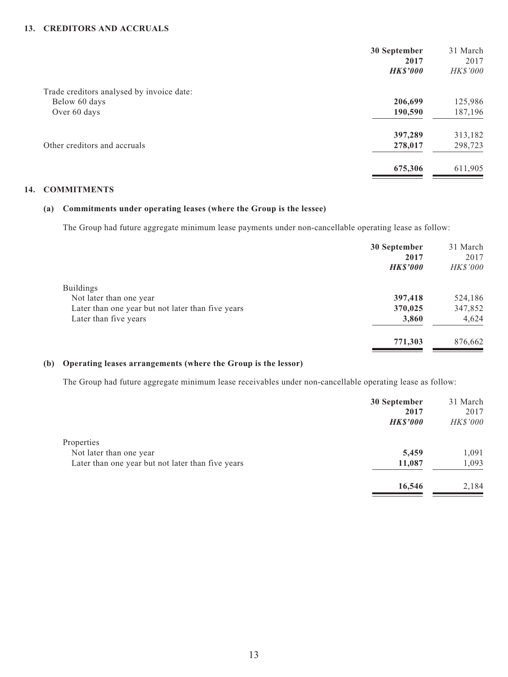#### **13. CREDITORS AND ACCRUALS**

| 2017            |
|-----------------|
| <b>HK\$'000</b> |
|                 |
| 125,986         |
| 187,196         |
| 313,182         |
| 298,723         |
| 611,905         |
|                 |

#### **14. COMMITMENTS**

#### **(a) Commitments under operating leases (where the Group is the lessee)**

The Group had future aggregate minimum lease payments under non-cancellable operating lease as follow:

|                                                   | 30 September<br>2017<br><b>HK\$'000</b> | 31 March<br>2017<br>HK\$'000 |
|---------------------------------------------------|-----------------------------------------|------------------------------|
| <b>Buildings</b>                                  |                                         |                              |
| Not later than one year                           | 397,418                                 | 524,186                      |
| Later than one year but not later than five years | 370,025                                 | 347,852                      |
| Later than five years                             | 3,860                                   | 4,624                        |
|                                                   | 771,303                                 | 876,662                      |

#### **(b) Operating leases arrangements (where the Group is the lessor)**

The Group had future aggregate minimum lease receivables under non-cancellable operating lease as follow:

|                                                   | 30 September    | 31 March        |
|---------------------------------------------------|-----------------|-----------------|
|                                                   | 2017            | 2017            |
|                                                   | <b>HK\$'000</b> | <b>HK\$'000</b> |
| Properties                                        |                 |                 |
| Not later than one year                           | 5,459           | 1,091           |
| Later than one year but not later than five years | 11,087          | 1,093           |
|                                                   | 16,546          | 2,184           |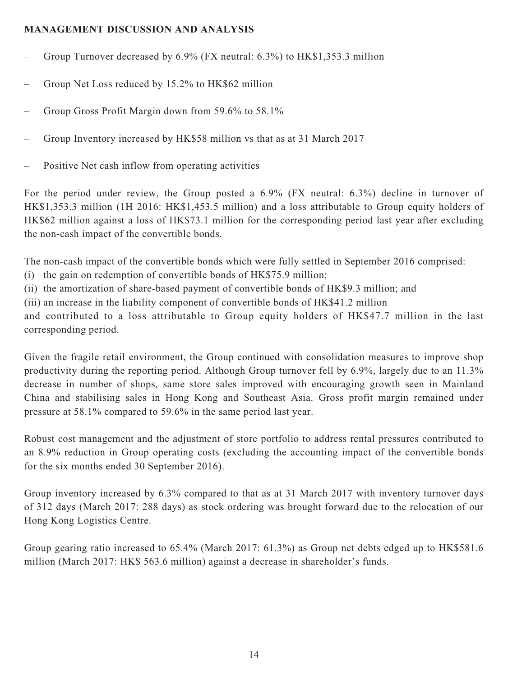## **MANAGEMENT DISCUSSION AND ANALYSIS**

- Group Turnover decreased by 6.9% (FX neutral: 6.3%) to HK\$1,353.3 million
- Group Net Loss reduced by 15.2% to HK\$62 million
- Group Gross Profit Margin down from 59.6% to 58.1%
- Group Inventory increased by HK\$58 million vs that as at 31 March 2017
- Positive Net cash inflow from operating activities

For the period under review, the Group posted a 6.9% (FX neutral: 6.3%) decline in turnover of HK\$1,353.3 million (1H 2016: HK\$1,453.5 million) and a loss attributable to Group equity holders of HK\$62 million against a loss of HK\$73.1 million for the corresponding period last year after excluding the non-cash impact of the convertible bonds.

The non-cash impact of the convertible bonds which were fully settled in September 2016 comprised:–

- (i) the gain on redemption of convertible bonds of HK\$75.9 million;
- (ii) the amortization of share-based payment of convertible bonds of HK\$9.3 million; and
- (iii) an increase in the liability component of convertible bonds of HK\$41.2 million

and contributed to a loss attributable to Group equity holders of HK\$47.7 million in the last corresponding period.

Given the fragile retail environment, the Group continued with consolidation measures to improve shop productivity during the reporting period. Although Group turnover fell by 6.9%, largely due to an 11.3% decrease in number of shops, same store sales improved with encouraging growth seen in Mainland China and stabilising sales in Hong Kong and Southeast Asia. Gross profit margin remained under pressure at 58.1% compared to 59.6% in the same period last year.

Robust cost management and the adjustment of store portfolio to address rental pressures contributed to an 8.9% reduction in Group operating costs (excluding the accounting impact of the convertible bonds for the six months ended 30 September 2016).

Group inventory increased by 6.3% compared to that as at 31 March 2017 with inventory turnover days of 312 days (March 2017: 288 days) as stock ordering was brought forward due to the relocation of our Hong Kong Logistics Centre.

Group gearing ratio increased to 65.4% (March 2017: 61.3%) as Group net debts edged up to HK\$581.6 million (March 2017: HK\$ 563.6 million) against a decrease in shareholder's funds.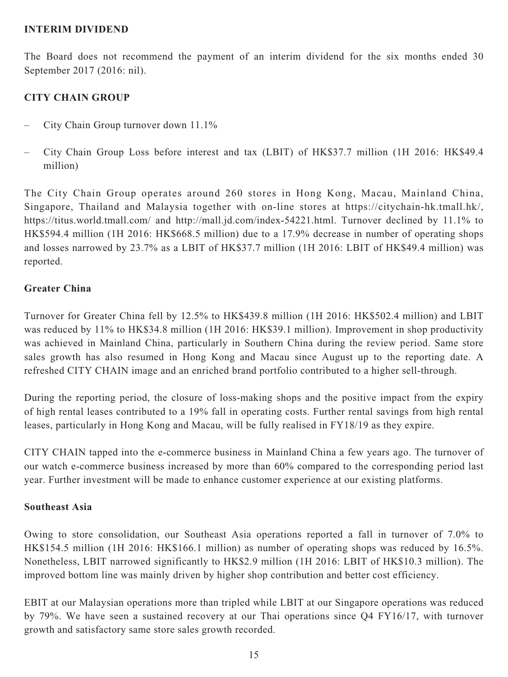### **INTERIM DIVIDEND**

The Board does not recommend the payment of an interim dividend for the six months ended 30 September 2017 (2016: nil).

# **CITY CHAIN GROUP**

- City Chain Group turnover down 11.1%
- City Chain Group Loss before interest and tax (LBIT) of HK\$37.7 million (1H 2016: HK\$49.4 million)

The City Chain Group operates around 260 stores in Hong Kong, Macau, Mainland China, Singapore, Thailand and Malaysia together with on-line stores at https://citychain-hk.tmall.hk/, https://titus.world.tmall.com/ and http://mall.jd.com/index-54221.html. Turnover declined by 11.1% to HK\$594.4 million (1H 2016: HK\$668.5 million) due to a 17.9% decrease in number of operating shops and losses narrowed by 23.7% as a LBIT of HK\$37.7 million (1H 2016: LBIT of HK\$49.4 million) was reported.

## **Greater China**

Turnover for Greater China fell by 12.5% to HK\$439.8 million (1H 2016: HK\$502.4 million) and LBIT was reduced by 11% to HK\$34.8 million (1H 2016: HK\$39.1 million). Improvement in shop productivity was achieved in Mainland China, particularly in Southern China during the review period. Same store sales growth has also resumed in Hong Kong and Macau since August up to the reporting date. A refreshed CITY CHAIN image and an enriched brand portfolio contributed to a higher sell-through.

During the reporting period, the closure of loss-making shops and the positive impact from the expiry of high rental leases contributed to a 19% fall in operating costs. Further rental savings from high rental leases, particularly in Hong Kong and Macau, will be fully realised in FY18/19 as they expire.

CITY CHAIN tapped into the e-commerce business in Mainland China a few years ago. The turnover of our watch e-commerce business increased by more than 60% compared to the corresponding period last year. Further investment will be made to enhance customer experience at our existing platforms.

### **Southeast Asia**

Owing to store consolidation, our Southeast Asia operations reported a fall in turnover of 7.0% to HK\$154.5 million (1H 2016: HK\$166.1 million) as number of operating shops was reduced by 16.5%. Nonetheless, LBIT narrowed significantly to HK\$2.9 million (1H 2016: LBIT of HK\$10.3 million). The improved bottom line was mainly driven by higher shop contribution and better cost efficiency.

EBIT at our Malaysian operations more than tripled while LBIT at our Singapore operations was reduced by 79%. We have seen a sustained recovery at our Thai operations since Q4 FY16/17, with turnover growth and satisfactory same store sales growth recorded.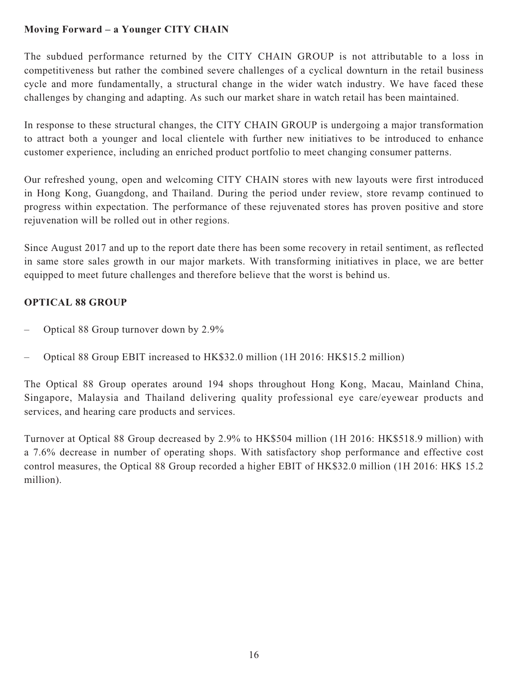# **Moving Forward – a Younger CITY CHAIN**

The subdued performance returned by the CITY CHAIN GROUP is not attributable to a loss in competitiveness but rather the combined severe challenges of a cyclical downturn in the retail business cycle and more fundamentally, a structural change in the wider watch industry. We have faced these challenges by changing and adapting. As such our market share in watch retail has been maintained.

In response to these structural changes, the CITY CHAIN GROUP is undergoing a major transformation to attract both a younger and local clientele with further new initiatives to be introduced to enhance customer experience, including an enriched product portfolio to meet changing consumer patterns.

Our refreshed young, open and welcoming CITY CHAIN stores with new layouts were first introduced in Hong Kong, Guangdong, and Thailand. During the period under review, store revamp continued to progress within expectation. The performance of these rejuvenated stores has proven positive and store rejuvenation will be rolled out in other regions.

Since August 2017 and up to the report date there has been some recovery in retail sentiment, as reflected in same store sales growth in our major markets. With transforming initiatives in place, we are better equipped to meet future challenges and therefore believe that the worst is behind us.

# **OPTICAL 88 GROUP**

- Optical 88 Group turnover down by 2.9%
- Optical 88 Group EBIT increased to HK\$32.0 million (1H 2016: HK\$15.2 million)

The Optical 88 Group operates around 194 shops throughout Hong Kong, Macau, Mainland China, Singapore, Malaysia and Thailand delivering quality professional eye care/eyewear products and services, and hearing care products and services.

Turnover at Optical 88 Group decreased by 2.9% to HK\$504 million (1H 2016: HK\$518.9 million) with a 7.6% decrease in number of operating shops. With satisfactory shop performance and effective cost control measures, the Optical 88 Group recorded a higher EBIT of HK\$32.0 million (1H 2016: HK\$ 15.2 million).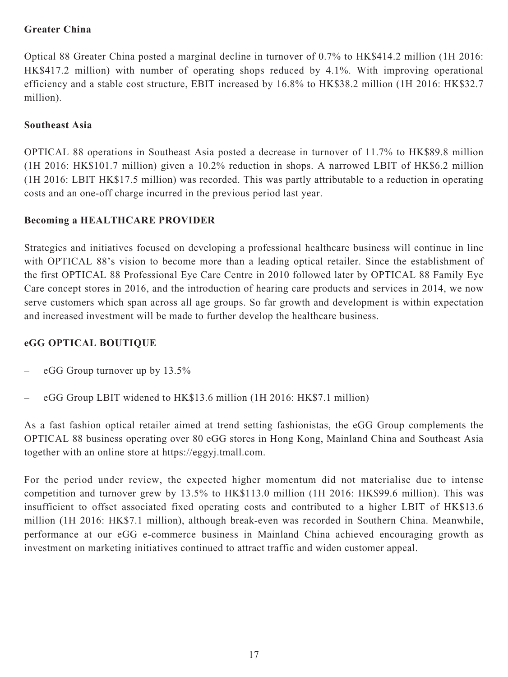## **Greater China**

Optical 88 Greater China posted a marginal decline in turnover of 0.7% to HK\$414.2 million (1H 2016: HK\$417.2 million) with number of operating shops reduced by 4.1%. With improving operational efficiency and a stable cost structure, EBIT increased by 16.8% to HK\$38.2 million (1H 2016: HK\$32.7 million).

## **Southeast Asia**

OPTICAL 88 operations in Southeast Asia posted a decrease in turnover of 11.7% to HK\$89.8 million (1H 2016: HK\$101.7 million) given a 10.2% reduction in shops. A narrowed LBIT of HK\$6.2 million (1H 2016: LBIT HK\$17.5 million) was recorded. This was partly attributable to a reduction in operating costs and an one-off charge incurred in the previous period last year.

## **Becoming a HEALTHCARE PROVIDER**

Strategies and initiatives focused on developing a professional healthcare business will continue in line with OPTICAL 88's vision to become more than a leading optical retailer. Since the establishment of the first OPTICAL 88 Professional Eye Care Centre in 2010 followed later by OPTICAL 88 Family Eye Care concept stores in 2016, and the introduction of hearing care products and services in 2014, we now serve customers which span across all age groups. So far growth and development is within expectation and increased investment will be made to further develop the healthcare business.

# **eGG OPTICAL BOUTIQUE**

- eGG Group turnover up by 13.5%
- eGG Group LBIT widened to HK\$13.6 million (1H 2016: HK\$7.1 million)

As a fast fashion optical retailer aimed at trend setting fashionistas, the eGG Group complements the OPTICAL 88 business operating over 80 eGG stores in Hong Kong, Mainland China and Southeast Asia together with an online store at https://eggyj.tmall.com.

For the period under review, the expected higher momentum did not materialise due to intense competition and turnover grew by 13.5% to HK\$113.0 million (1H 2016: HK\$99.6 million). This was insufficient to offset associated fixed operating costs and contributed to a higher LBIT of HK\$13.6 million (1H 2016: HK\$7.1 million), although break-even was recorded in Southern China. Meanwhile, performance at our eGG e-commerce business in Mainland China achieved encouraging growth as investment on marketing initiatives continued to attract traffic and widen customer appeal.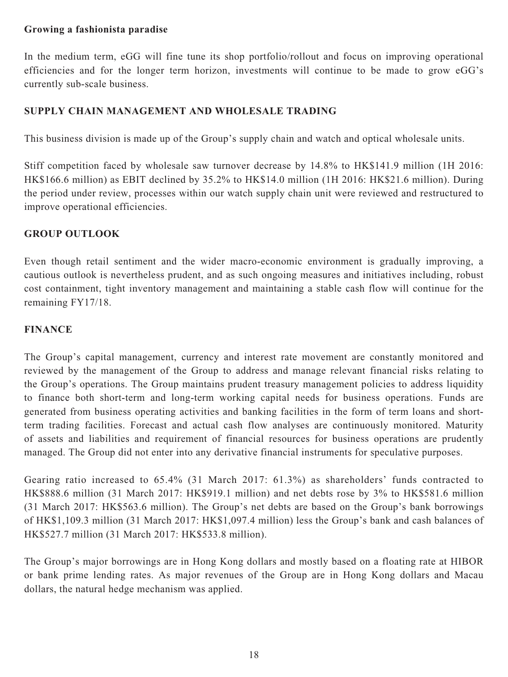### **Growing a fashionista paradise**

In the medium term, eGG will fine tune its shop portfolio/rollout and focus on improving operational efficiencies and for the longer term horizon, investments will continue to be made to grow eGG's currently sub-scale business.

## **SUPPLY CHAIN MANAGEMENT AND WHOLESALE TRADING**

This business division is made up of the Group's supply chain and watch and optical wholesale units.

Stiff competition faced by wholesale saw turnover decrease by 14.8% to HK\$141.9 million (1H 2016: HK\$166.6 million) as EBIT declined by 35.2% to HK\$14.0 million (1H 2016: HK\$21.6 million). During the period under review, processes within our watch supply chain unit were reviewed and restructured to improve operational efficiencies.

### **GROUP OUTLOOK**

Even though retail sentiment and the wider macro-economic environment is gradually improving, a cautious outlook is nevertheless prudent, and as such ongoing measures and initiatives including, robust cost containment, tight inventory management and maintaining a stable cash flow will continue for the remaining FY17/18.

### **FINANCE**

The Group's capital management, currency and interest rate movement are constantly monitored and reviewed by the management of the Group to address and manage relevant financial risks relating to the Group's operations. The Group maintains prudent treasury management policies to address liquidity to finance both short-term and long-term working capital needs for business operations. Funds are generated from business operating activities and banking facilities in the form of term loans and shortterm trading facilities. Forecast and actual cash flow analyses are continuously monitored. Maturity of assets and liabilities and requirement of financial resources for business operations are prudently managed. The Group did not enter into any derivative financial instruments for speculative purposes.

Gearing ratio increased to 65.4% (31 March 2017: 61.3%) as shareholders' funds contracted to HK\$888.6 million (31 March 2017: HK\$919.1 million) and net debts rose by 3% to HK\$581.6 million (31 March 2017: HK\$563.6 million). The Group's net debts are based on the Group's bank borrowings of HK\$1,109.3 million (31 March 2017: HK\$1,097.4 million) less the Group's bank and cash balances of HK\$527.7 million (31 March 2017: HK\$533.8 million).

The Group's major borrowings are in Hong Kong dollars and mostly based on a floating rate at HIBOR or bank prime lending rates. As major revenues of the Group are in Hong Kong dollars and Macau dollars, the natural hedge mechanism was applied.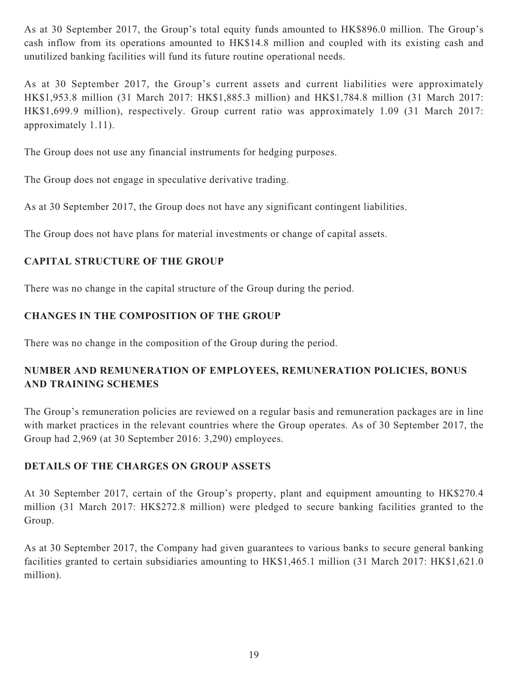As at 30 September 2017, the Group's total equity funds amounted to HK\$896.0 million. The Group's cash inflow from its operations amounted to HK\$14.8 million and coupled with its existing cash and unutilized banking facilities will fund its future routine operational needs.

As at 30 September 2017, the Group's current assets and current liabilities were approximately HK\$1,953.8 million (31 March 2017: HK\$1,885.3 million) and HK\$1,784.8 million (31 March 2017: HK\$1,699.9 million), respectively. Group current ratio was approximately 1.09 (31 March 2017: approximately 1.11).

The Group does not use any financial instruments for hedging purposes.

The Group does not engage in speculative derivative trading.

As at 30 September 2017, the Group does not have any significant contingent liabilities.

The Group does not have plans for material investments or change of capital assets.

# **CAPITAL STRUCTURE OF THE GROUP**

There was no change in the capital structure of the Group during the period.

# **CHANGES IN THE COMPOSITION OF THE GROUP**

There was no change in the composition of the Group during the period.

# **NUMBER AND REMUNERATION OF EMPLOYEES, REMUNERATION POLICIES, BONUS AND TRAINING SCHEMES**

The Group's remuneration policies are reviewed on a regular basis and remuneration packages are in line with market practices in the relevant countries where the Group operates. As of 30 September 2017, the Group had 2,969 (at 30 September 2016: 3,290) employees.

# **DETAILS OF THE CHARGES ON GROUP ASSETS**

At 30 September 2017, certain of the Group's property, plant and equipment amounting to HK\$270.4 million (31 March 2017: HK\$272.8 million) were pledged to secure banking facilities granted to the Group.

As at 30 September 2017, the Company had given guarantees to various banks to secure general banking facilities granted to certain subsidiaries amounting to HK\$1,465.1 million (31 March 2017: HK\$1,621.0 million).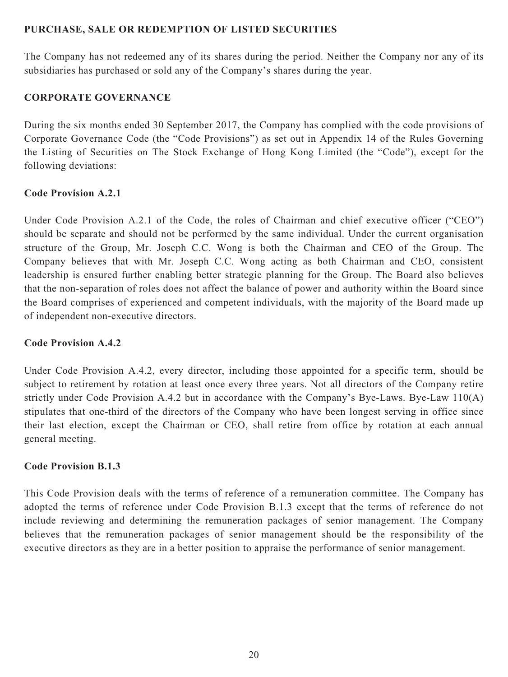### **PURCHASE, SALE OR REDEMPTION OF LISTED SECURITIES**

The Company has not redeemed any of its shares during the period. Neither the Company nor any of its subsidiaries has purchased or sold any of the Company's shares during the year.

### **CORPORATE GOVERNANCE**

During the six months ended 30 September 2017, the Company has complied with the code provisions of Corporate Governance Code (the "Code Provisions") as set out in Appendix 14 of the Rules Governing the Listing of Securities on The Stock Exchange of Hong Kong Limited (the "Code"), except for the following deviations:

### **Code Provision A.2.1**

Under Code Provision A.2.1 of the Code, the roles of Chairman and chief executive officer ("CEO") should be separate and should not be performed by the same individual. Under the current organisation structure of the Group, Mr. Joseph C.C. Wong is both the Chairman and CEO of the Group. The Company believes that with Mr. Joseph C.C. Wong acting as both Chairman and CEO, consistent leadership is ensured further enabling better strategic planning for the Group. The Board also believes that the non-separation of roles does not affect the balance of power and authority within the Board since the Board comprises of experienced and competent individuals, with the majority of the Board made up of independent non-executive directors.

### **Code Provision A.4.2**

Under Code Provision A.4.2, every director, including those appointed for a specific term, should be subject to retirement by rotation at least once every three years. Not all directors of the Company retire strictly under Code Provision A.4.2 but in accordance with the Company's Bye-Laws. Bye-Law 110(A) stipulates that one-third of the directors of the Company who have been longest serving in office since their last election, except the Chairman or CEO, shall retire from office by rotation at each annual general meeting.

### **Code Provision B.1.3**

This Code Provision deals with the terms of reference of a remuneration committee. The Company has adopted the terms of reference under Code Provision B.1.3 except that the terms of reference do not include reviewing and determining the remuneration packages of senior management. The Company believes that the remuneration packages of senior management should be the responsibility of the executive directors as they are in a better position to appraise the performance of senior management.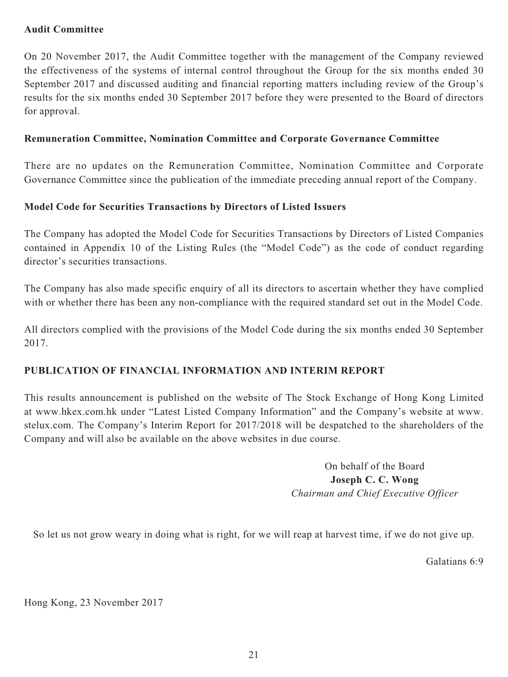### **Audit Committee**

On 20 November 2017, the Audit Committee together with the management of the Company reviewed the effectiveness of the systems of internal control throughout the Group for the six months ended 30 September 2017 and discussed auditing and financial reporting matters including review of the Group's results for the six months ended 30 September 2017 before they were presented to the Board of directors for approval.

### **Remuneration Committee, Nomination Committee and Corporate Governance Committee**

There are no updates on the Remuneration Committee, Nomination Committee and Corporate Governance Committee since the publication of the immediate preceding annual report of the Company.

### **Model Code for Securities Transactions by Directors of Listed Issuers**

The Company has adopted the Model Code for Securities Transactions by Directors of Listed Companies contained in Appendix 10 of the Listing Rules (the "Model Code") as the code of conduct regarding director's securities transactions.

The Company has also made specific enquiry of all its directors to ascertain whether they have complied with or whether there has been any non-compliance with the required standard set out in the Model Code.

All directors complied with the provisions of the Model Code during the six months ended 30 September 2017.

### **PUBLICATION OF FINANCIAL INFORMATION AND INTERIM REPORT**

This results announcement is published on the website of The Stock Exchange of Hong Kong Limited at www.hkex.com.hk under "Latest Listed Company Information" and the Company's website at www. stelux.com. The Company's Interim Report for 2017/2018 will be despatched to the shareholders of the Company and will also be available on the above websites in due course.

> On behalf of the Board **Joseph C. C. Wong** *Chairman and Chief Executive Officer*

So let us not grow weary in doing what is right, for we will reap at harvest time, if we do not give up.

Galatians 6:9

Hong Kong, 23 November 2017